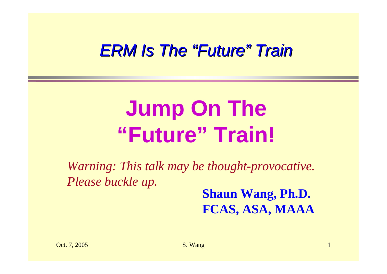#### *ERM Is The ERM Is The "Future" Train*

# **Jump On The "Future" Train!**

*Warning: This talk may be thought-provocative. Please buckle up.*

**Shaun Wang, Ph.D. FCAS, ASA, MAAA**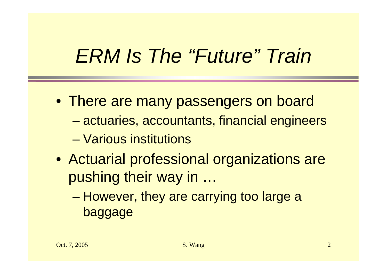### *ERM Is The "Future" Train*

- There are many passengers on board
	- –actuaries, accountants, financial engineers
	- Various institutions
- Actuarial professional organizations are pushing their way in …
	- – However, they are carrying too large a baggage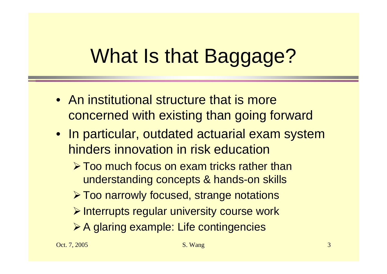# What Is that Baggage?

- An institutional structure that is more concerned with existing than going forward
- In particular, outdated actuarial exam system hinders innovation in risk education
	- $\triangleright$  Too much focus on exam tricks rather than understanding concepts & hands-on skills
	- ¾Too narrowly focused, strange notations
	- $\triangleright$  Interrupts regular university course work
	- **≻A glaring example: Life contingencies**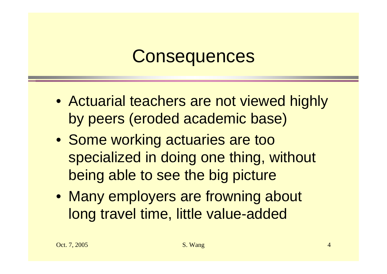#### **Consequences**

- Actuarial teachers are not viewed highly by peers (eroded academic base)
- Some working actuaries are too specialized in doing one thing, without being able to see the big picture
- Many employers are frowning about long travel time, little value-added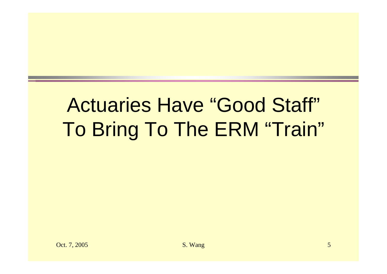## Actuaries Have "Good Staff" To Bring To The ERM "Train"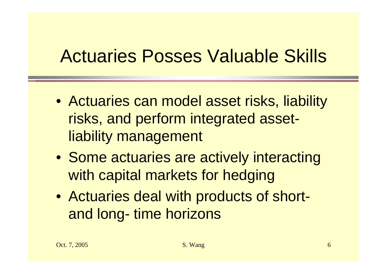#### Actuaries Posses Valuable Skills

- Actuaries can model asset risks, liability risks, and perform integrated assetliability management
- Some actuaries are actively interacting with capital markets for hedging
- Actuaries deal with products of shortand long- time horizons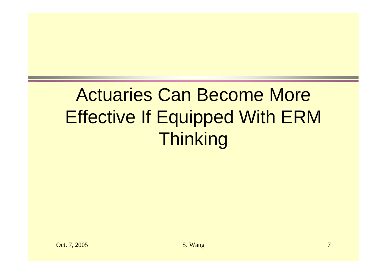### Actuaries Can Become More Effective If Equipped With ERM Thinking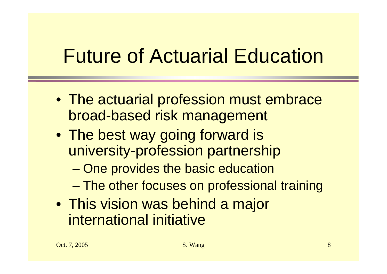## Future of Actuarial Education

- The actuarial profession must embrace broad-based risk management
- The best way going forward is university-profession partnership
	- –One provides the basic education
	- –The other focuses on professional training
- This vision was behind a major international initiative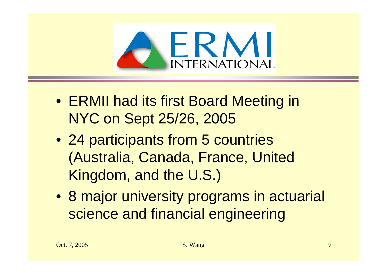

- ERMII had its first Board Meeting in NYC on Sept 25/26, 2005
- 24 participants from 5 countries (Australia, Canada, France, United Kingdom, and the U.S.)
- 8 major university programs in actuarial science and financial engineering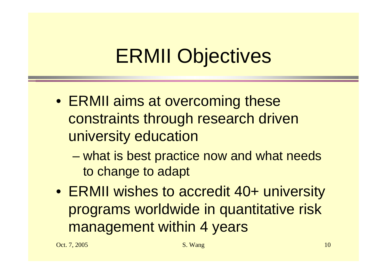## ERMII Objectives

- ERMII aims at overcoming these constraints through research driven university education
	- – what is best practice now and what needs to change to adapt
- ERMII wishes to accredit 40+ university programs worldwide in quantitative risk management within 4 years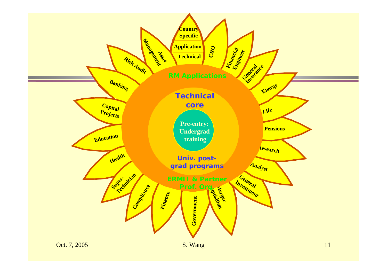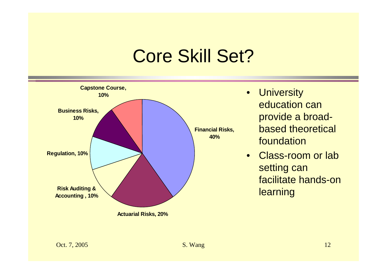#### Core Skill Set?



- University education can provide a broadbased theoretical foundation
- $\bullet$  Class-room or lab setting can facilitate hands-on learning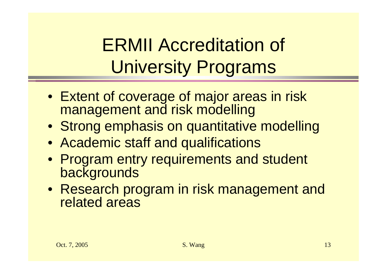#### ERMII Accreditation of University Programs

- Extent of coverage of major areas in risk management and risk modelling
- Strong emphasis on quantitative modelling
- Academic staff and qualifications
- Program entry requirements and student **backgrounds**
- Research program in risk management and related areas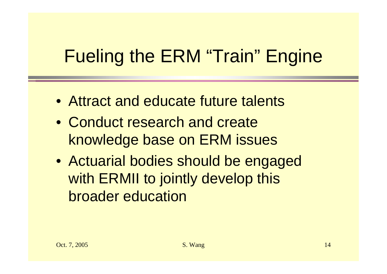### Fueling the ERM "Train" Engine

- Attract and educate future talents
- Conduct research and create knowledge base on ERM issues
- Actuarial bodies should be engaged with ERMII to jointly develop this broader education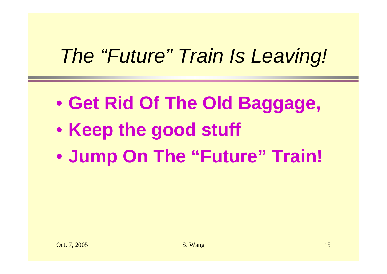## *The "Future" Train Is Leaving!*

- $\bullet$ **Get Rid Of The Old Baggage,**
- $\bullet$ **• Keep the good stuff**
- $\bullet$ **Jump On The "Future" Train!**